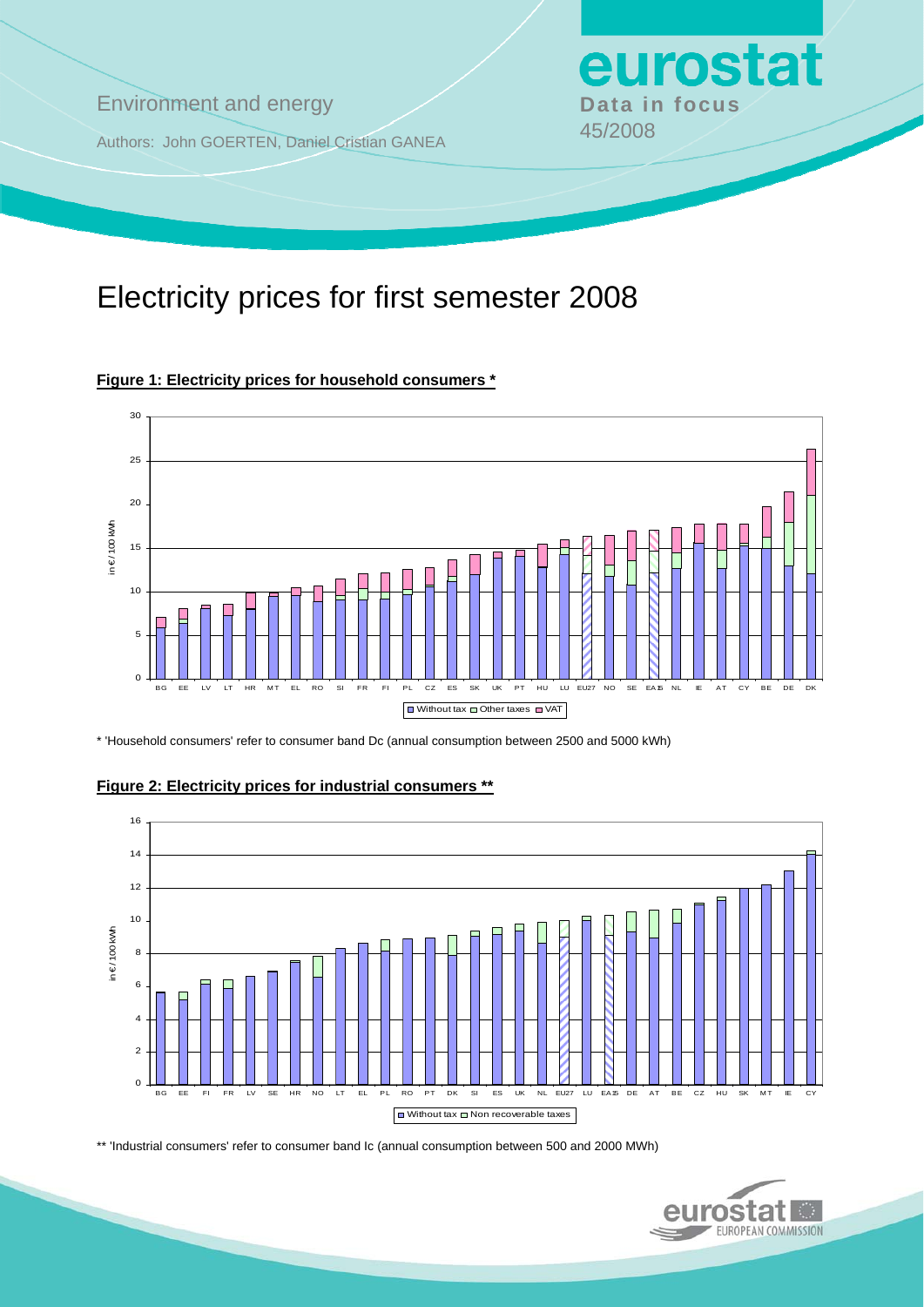# **Environment and energy by Data in focus**

Authors: John GOERTEN, Daniel Cristian GANEA 45/2008

# Electricity prices for first semester 2008



**Figure 1: Electricity prices for household consumers \***

\* 'Household consumers' refer to consumer band Dc (annual consumption between 2500 and 5000 kWh)



## **Figure 2: Electricity prices for industrial consumers \*\***

\*\* 'Industrial consumers' refer to consumer band Ic (annual consumption between 500 and 2000 MWh)



eurostat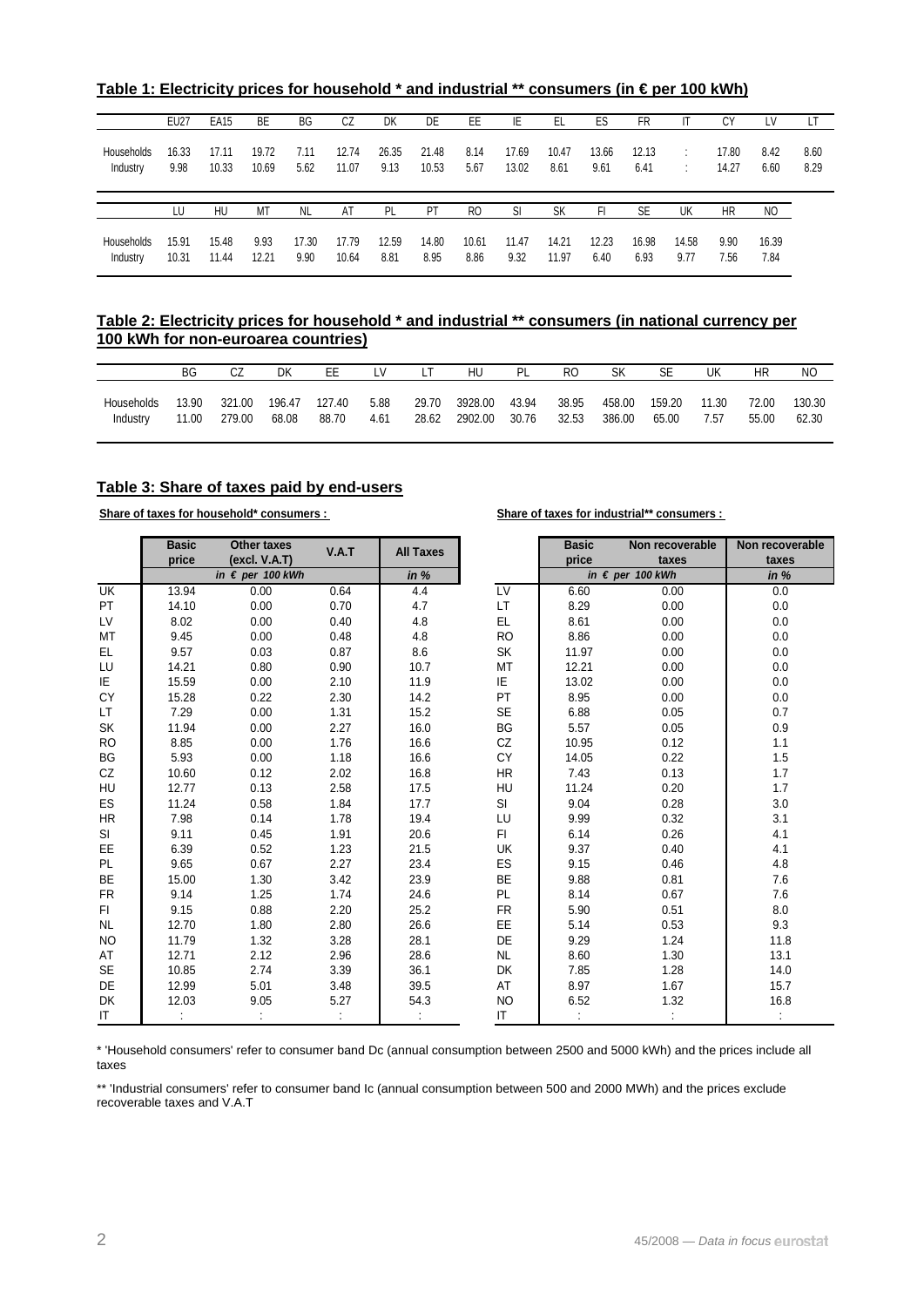Table 1: Electricity prices for household <sup>\*</sup> and industrial <sup>\*\*</sup> consumers (in € per 100 kWh)

|                        | <b>EU27</b>   | <b>EA15</b>    | <b>BE</b>      | BG           | CZ             | DK            | DE             | EE             | ΙE             | -EL           | ES            | <b>FR</b>     |    | СY             | LV           | LT           |
|------------------------|---------------|----------------|----------------|--------------|----------------|---------------|----------------|----------------|----------------|---------------|---------------|---------------|----|----------------|--------------|--------------|
| Households<br>Industry | 16.33<br>9.98 | 17.11<br>10.33 | 19.72<br>10.69 | 7.11<br>5.62 | 12.74<br>11.07 | 26.35<br>9.13 | 21.48<br>10.53 | 8.14<br>5.67   | 17.69<br>13.02 | 10.47<br>8.61 | 13.66<br>9.61 | 12.13<br>6.41 |    | 17.80<br>14.27 | 8.42<br>6.60 | 8.60<br>8.29 |
|                        |               |                |                |              |                |               |                |                |                |               |               |               |    |                |              |              |
|                        | LU            | HU             | MT             | NL           | AT             | PL            | PT             | R <sub>O</sub> | SI             | <b>SK</b>     | FI            | <b>SE</b>     | UK | HR             | NO.          |              |

### **Table 2: Electricity prices for household \* and industrial \*\* consumers (in national currency per 100 kWh for non-euroarea countries)**

|            | BG    | UZ     | DK     | EE     |      |       | ΗU      | PL    | R <sub>O</sub> | SK     | SE     | UK    | ΗR    | NO     |
|------------|-------|--------|--------|--------|------|-------|---------|-------|----------------|--------|--------|-------|-------|--------|
| Households | 13.90 | 321.00 | 196.47 | 127.40 | 5.88 | 29.70 | 3928.00 | 43.94 | 38.95          | 458.00 | 159.20 | 11.30 | 72.00 | 130.30 |
| Industry   | 11.00 | 279.00 | 68.08  | 88.70  | 4.61 | 28.62 | 2902.00 | 30.76 | 32.53          | 386.00 | 65.00  | 7.57  | 55.00 | 62.30  |

**Share of taxes for industrial\*\* consumers :** 

### **Table 3: Share of taxes paid by end-users**

|  |  | Share of taxes for household* consumers : |
|--|--|-------------------------------------------|
|  |  |                                           |

|           | <b>Basic</b><br>price | <b>Other taxes</b><br>(excl. V.A.T) | V.A.T | <b>All Taxes</b> |                        | <b>Basic</b><br>price | Non recoverable<br>taxes  | Non recoverable<br>taxes |
|-----------|-----------------------|-------------------------------------|-------|------------------|------------------------|-----------------------|---------------------------|--------------------------|
|           |                       | in $\epsilon$ per 100 kWh           |       | in %             |                        |                       | in $\epsilon$ per 100 kWh | in %                     |
| UK        | 13.94                 | 0.00                                | 0.64  | 4.4              | $\overline{\text{LV}}$ | 6.60                  | 0.00                      | 0.0                      |
| <b>PT</b> | 14.10                 | 0.00                                | 0.70  | 4.7              | LT                     | 8.29                  | 0.00                      | 0.0                      |
| LV        | 8.02                  | 0.00                                | 0.40  | 4.8              | EL.                    | 8.61                  | 0.00                      | 0.0                      |
| MT        | 9.45                  | 0.00                                | 0.48  | 4.8              | <b>RO</b>              | 8.86                  | 0.00                      | 0.0                      |
| EL.       | 9.57                  | 0.03                                | 0.87  | 8.6              | <b>SK</b>              | 11.97                 | 0.00                      | 0.0                      |
| LU        | 14.21                 | 0.80                                | 0.90  | 10.7             | MT                     | 12.21                 | 0.00                      | 0.0                      |
| ΙE        | 15.59                 | 0.00                                | 2.10  | 11.9             | ΙE                     | 13.02                 | 0.00                      | 0.0                      |
| CY        | 15.28                 | 0.22                                | 2.30  | 14.2             | PT                     | 8.95                  | 0.00                      | 0.0                      |
| <b>LT</b> | 7.29                  | 0.00                                | 1.31  | 15.2             | <b>SE</b>              | 6.88                  | 0.05                      | 0.7                      |
| SK        | 11.94                 | 0.00                                | 2.27  | 16.0             | <b>BG</b>              | 5.57                  | 0.05                      | 0.9                      |
| <b>RO</b> | 8.85                  | 0.00                                | 1.76  | 16.6             | CZ                     | 10.95                 | 0.12                      | 1.1                      |
| BG        | 5.93                  | 0.00                                | 1.18  | 16.6             | <b>CY</b>              | 14.05                 | 0.22                      | 1.5                      |
| CZ        | 10.60                 | 0.12                                | 2.02  | 16.8             | <b>HR</b>              | 7.43                  | 0.13                      | 1.7                      |
| HU        | 12.77                 | 0.13                                | 2.58  | 17.5             | HU                     | 11.24                 | 0.20                      | 1.7                      |
| <b>ES</b> | 11.24                 | 0.58                                | 1.84  | 17.7             | SI                     | 9.04                  | 0.28                      | 3.0                      |
| HR.       | 7.98                  | 0.14                                | 1.78  | 19.4             | LU                     | 9.99                  | 0.32                      | 3.1                      |
| SI        | 9.11                  | 0.45                                | 1.91  | 20.6             | FL.                    | 6.14                  | 0.26                      | 4.1                      |
| EE        | 6.39                  | 0.52                                | 1.23  | 21.5             | UK                     | 9.37                  | 0.40                      | 4.1                      |
| <b>PL</b> | 9.65                  | 0.67                                | 2.27  | 23.4             | ES                     | 9.15                  | 0.46                      | 4.8                      |
| <b>BE</b> | 15.00                 | 1.30                                | 3.42  | 23.9             | BE                     | 9.88                  | 0.81                      | 7.6                      |
| <b>FR</b> | 9.14                  | 1.25                                | 1.74  | 24.6             | <b>PL</b>              | 8.14                  | 0.67                      | 7.6                      |
| FI.       | 9.15                  | 0.88                                | 2.20  | 25.2             | <b>FR</b>              | 5.90                  | 0.51                      | 8.0                      |
| NL        | 12.70                 | 1.80                                | 2.80  | 26.6             | EE                     | 5.14                  | 0.53                      | 9.3                      |
| <b>NO</b> | 11.79                 | 1.32                                | 3.28  | 28.1             | DE                     | 9.29                  | 1.24                      | 11.8                     |
| AT        | 12.71                 | 2.12                                | 2.96  | 28.6             | <b>NL</b>              | 8.60                  | 1.30                      | 13.1                     |
| <b>SE</b> | 10.85                 | 2.74                                | 3.39  | 36.1             | DK                     | 7.85                  | 1.28                      | 14.0                     |
| DE        | 12.99                 | 5.01                                | 3.48  | 39.5             | AT                     | 8.97                  | 1.67                      | 15.7                     |
| <b>DK</b> | 12.03                 | 9.05                                | 5.27  | 54.3             | <b>NO</b>              | 6.52                  | 1.32                      | 16.8                     |
| IT        |                       |                                     |       |                  | IT                     |                       |                           |                          |

#### \* 'Household consumers' refer to consumer band Dc (annual consumption between 2500 and 5000 kWh) and the prices include all taxes

\*\* 'Industrial consumers' refer to consumer band Ic (annual consumption between 500 and 2000 MWh) and the prices exclude recoverable taxes and V.A.T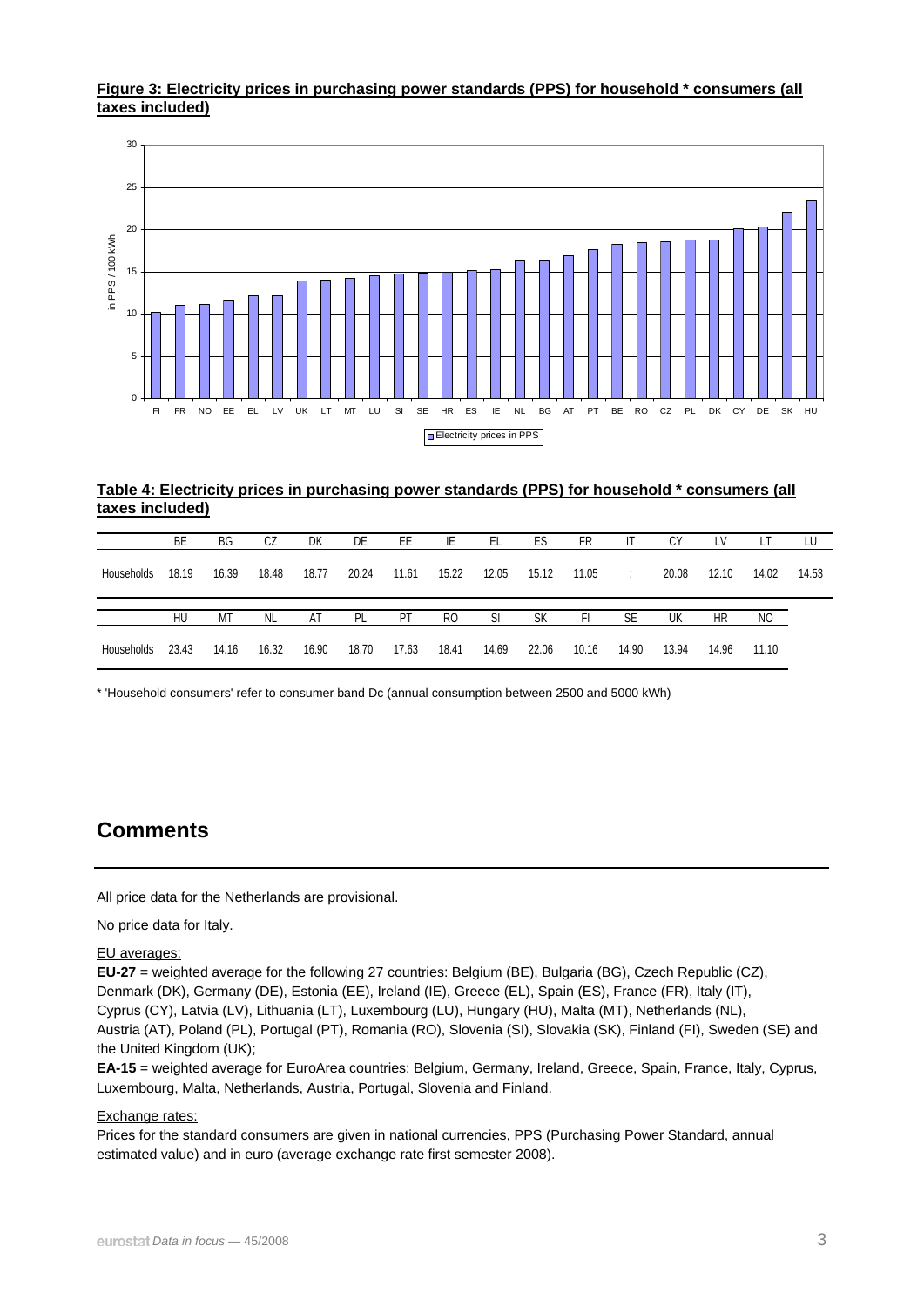### **Figure 3: Electricity prices in purchasing power standards (PPS) for household \* consumers (all taxes included)**



### **Table 4: Electricity prices in purchasing power standards (PPS) for household \* consumers (all taxes included)**

|            | <b>BE</b> | ΒG    | CZ    | DK    | DE    | EE        | IE.   | EL    | ES    | <b>FR</b> | IT        | СY    | LV        |       | LU    |
|------------|-----------|-------|-------|-------|-------|-----------|-------|-------|-------|-----------|-----------|-------|-----------|-------|-------|
| Households | 18.19     | 16.39 | 18.48 | 18.77 | 20.24 | 11.61     | 15.22 | 12.05 | 15.12 | 11.05     | ÷         | 20.08 | 12.10     | 14.02 | 14.53 |
|            |           |       |       |       |       |           |       |       |       |           |           |       |           |       |       |
|            | HU        | МT    | NL    | AT    | PL    | <b>PT</b> | RO    | SI    | SK    | -FL       | <b>SE</b> | UK    | <b>HR</b> | NO.   |       |

\* 'Household consumers' refer to consumer band Dc (annual consumption between 2500 and 5000 kWh)

# **Comments**

All price data for the Netherlands are provisional.

No price data for Italy.

#### EU averages:

**EU-27** = weighted average for the following 27 countries: Belgium (BE), Bulgaria (BG), Czech Republic (CZ), Denmark (DK), Germany (DE), Estonia (EE), Ireland (IE), Greece (EL), Spain (ES), France (FR), Italy (IT), Cyprus (CY), Latvia (LV), Lithuania (LT), Luxembourg (LU), Hungary (HU), Malta (MT), Netherlands (NL), Austria (AT), Poland (PL), Portugal (PT), Romania (RO), Slovenia (SI), Slovakia (SK), Finland (FI), Sweden (SE) and the United Kingdom (UK);

**EA-15** = weighted average for EuroArea countries: Belgium, Germany, Ireland, Greece, Spain, France, Italy, Cyprus, Luxembourg, Malta, Netherlands, Austria, Portugal, Slovenia and Finland.

#### Exchange rates:

Prices for the standard consumers are given in national currencies, PPS (Purchasing Power Standard, annual estimated value) and in euro (average exchange rate first semester 2008).